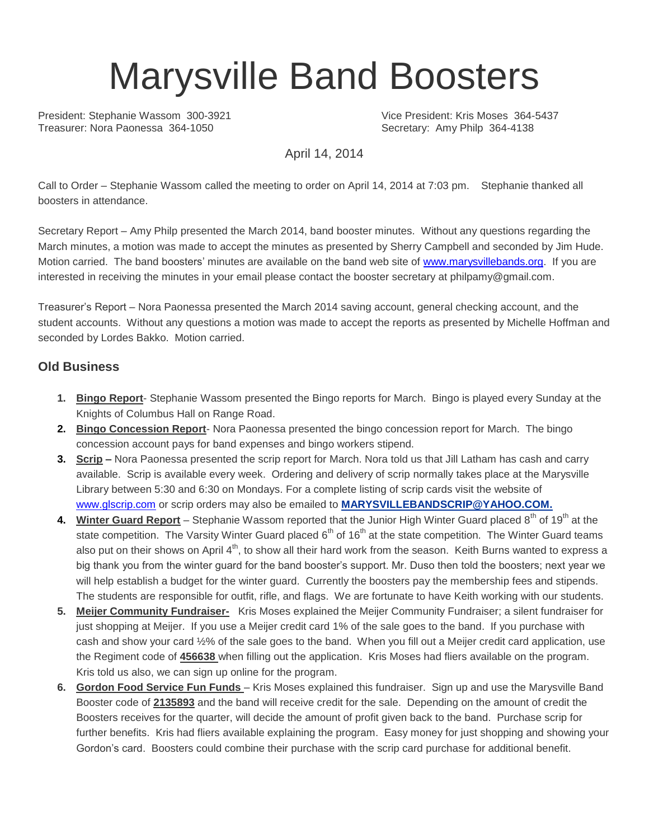# Marysville Band Boosters

President: Stephanie Wassom 300-3921 Vice President: Kris Moses 364-5437<br>
Treasurer: Nora Paonessa 364-1050 Vice President: Amy Philo 364-4138

Secretary: Amy Philp 364-4138

April 14, 2014

Call to Order – Stephanie Wassom called the meeting to order on April 14, 2014 at 7:03 pm. Stephanie thanked all boosters in attendance.

Secretary Report – Amy Philp presented the March 2014, band booster minutes. Without any questions regarding the March minutes, a motion was made to accept the minutes as presented by Sherry Campbell and seconded by Jim Hude. Motion carried. The band boosters' minutes are available on the band web site of [www.marysvillebands.org.](http://www.marysvillebands.org/) If you are interested in receiving the minutes in your email please contact the booster secretary at philpamy@gmail.com.

Treasurer's Report – Nora Paonessa presented the March 2014 saving account, general checking account, and the student accounts. Without any questions a motion was made to accept the reports as presented by Michelle Hoffman and seconded by Lordes Bakko. Motion carried.

#### **Old Business**

- **1. Bingo Report** Stephanie Wassom presented the Bingo reports for March. Bingo is played every Sunday at the Knights of Columbus Hall on Range Road.
- **2. Bingo Concession Report** Nora Paonessa presented the bingo concession report for March. The bingo concession account pays for band expenses and bingo workers stipend.
- **3. Scrip –** Nora Paonessa presented the scrip report for March. Nora told us that Jill Latham has cash and carry available. Scrip is available every week. Ordering and delivery of scrip normally takes place at the Marysville Library between 5:30 and 6:30 on Mondays. For a complete listing of scrip cards visit the website of [www.glscrip.com](http://www.glscrip.com/) or scrip orders may also be emailed to **[MARYSVILLEBANDSCRIP@YAHOO.COM.](http://us.f838.mail.yahoo.com/ym/Compose?To=MARYSVILLEBANDSCRIP@YAHOO.COM%20/%20_blank)**
- 4. Winter Guard Report Stephanie Wassom reported that the Junior High Winter Guard placed 8<sup>th</sup> of 19<sup>th</sup> at the state competition. The Varsity Winter Guard placed  $6<sup>th</sup>$  of 16<sup>th</sup> at the state competition. The Winter Guard teams also put on their shows on April  $4<sup>th</sup>$ , to show all their hard work from the season. Keith Burns wanted to express a big thank you from the winter guard for the band booster's support. Mr. Duso then told the boosters; next year we will help establish a budget for the winter guard. Currently the boosters pay the membership fees and stipends. The students are responsible for outfit, rifle, and flags. We are fortunate to have Keith working with our students.
- **5. Meijer Community Fundraiser-** Kris Moses explained the Meijer Community Fundraiser; a silent fundraiser for just shopping at Meijer. If you use a Meijer credit card 1% of the sale goes to the band. If you purchase with cash and show your card ½% of the sale goes to the band. When you fill out a Meijer credit card application, use the Regiment code of **456638** when filling out the application. Kris Moses had fliers available on the program. Kris told us also, we can sign up online for the program.
- **6. Gordon Food Service Fun Funds**  Kris Moses explained this fundraiser. Sign up and use the Marysville Band Booster code of **2135893** and the band will receive credit for the sale. Depending on the amount of credit the Boosters receives for the quarter, will decide the amount of profit given back to the band. Purchase scrip for further benefits. Kris had fliers available explaining the program. Easy money for just shopping and showing your Gordon's card. Boosters could combine their purchase with the scrip card purchase for additional benefit.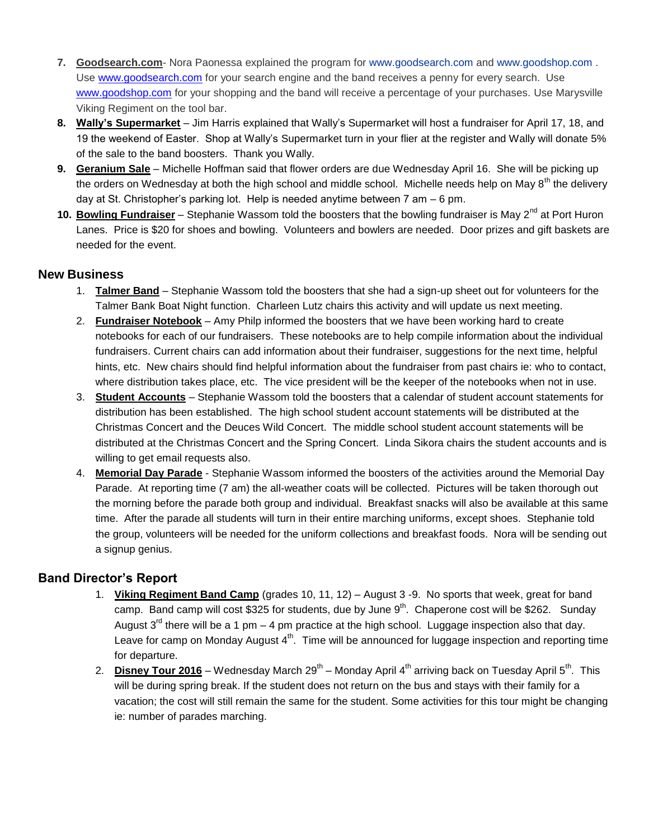- **7. Goodsearch.com** Nora Paonessa explained the program for [www.goodsearch.com](http://www.goodsearch.com/) and [www.goodshop.com](http://www.goodshop.com/) . Use [www.goodsearch.com](http://www.goodsearch.com/) for your search engine and the band receives a penny for every search. Use [www.goodshop.com](http://www.goodshop.com/) for your shopping and the band will receive a percentage of your purchases. Use Marysville Viking Regiment on the tool bar.
- **8. Wally's Supermarket** Jim Harris explained that Wally's Supermarket will host a fundraiser for April 17, 18, and 19 the weekend of Easter. Shop at Wally's Supermarket turn in your flier at the register and Wally will donate 5% of the sale to the band boosters. Thank you Wally.
- **9. Geranium Sale** Michelle Hoffman said that flower orders are due Wednesday April 16. She will be picking up the orders on Wednesday at both the high school and middle school. Michelle needs help on May 8<sup>th</sup> the delivery day at St. Christopher's parking lot. Help is needed anytime between 7 am – 6 pm.
- 10. Bowling Fundraiser Stephanie Wassom told the boosters that the bowling fundraiser is May 2<sup>nd</sup> at Port Huron Lanes. Price is \$20 for shoes and bowling. Volunteers and bowlers are needed. Door prizes and gift baskets are needed for the event.

### **New Business**

- 1. **Talmer Band** Stephanie Wassom told the boosters that she had a sign-up sheet out for volunteers for the Talmer Bank Boat Night function. Charleen Lutz chairs this activity and will update us next meeting.
- 2. **Fundraiser Notebook** Amy Philp informed the boosters that we have been working hard to create notebooks for each of our fundraisers. These notebooks are to help compile information about the individual fundraisers. Current chairs can add information about their fundraiser, suggestions for the next time, helpful hints, etc. New chairs should find helpful information about the fundraiser from past chairs ie: who to contact, where distribution takes place, etc. The vice president will be the keeper of the notebooks when not in use.
- 3. **Student Accounts** Stephanie Wassom told the boosters that a calendar of student account statements for distribution has been established. The high school student account statements will be distributed at the Christmas Concert and the Deuces Wild Concert. The middle school student account statements will be distributed at the Christmas Concert and the Spring Concert. Linda Sikora chairs the student accounts and is willing to get email requests also.
- 4. **Memorial Day Parade** Stephanie Wassom informed the boosters of the activities around the Memorial Day Parade. At reporting time (7 am) the all-weather coats will be collected. Pictures will be taken thorough out the morning before the parade both group and individual. Breakfast snacks will also be available at this same time. After the parade all students will turn in their entire marching uniforms, except shoes. Stephanie told the group, volunteers will be needed for the uniform collections and breakfast foods. Nora will be sending out a signup genius.

#### **Band Director's Report**

- 1. **Viking Regiment Band Camp** (grades 10, 11, 12) August 3 -9. No sports that week, great for band camp. Band camp will cost \$325 for students, due by June  $9<sup>th</sup>$ . Chaperone cost will be \$262. Sunday August  $3<sup>rd</sup>$  there will be a 1 pm – 4 pm practice at the high school. Luggage inspection also that day. Leave for camp on Monday August  $4^{\text{th}}$ . Time will be announced for luggage inspection and reporting time for departure.
- 2. <mark>Disney Tour 2016</mark> Wednesday March 29<sup>th</sup> Monday April 4<sup>th</sup> arriving back on Tuesday April 5<sup>th</sup>. This will be during spring break. If the student does not return on the bus and stays with their family for a vacation; the cost will still remain the same for the student. Some activities for this tour might be changing ie: number of parades marching.